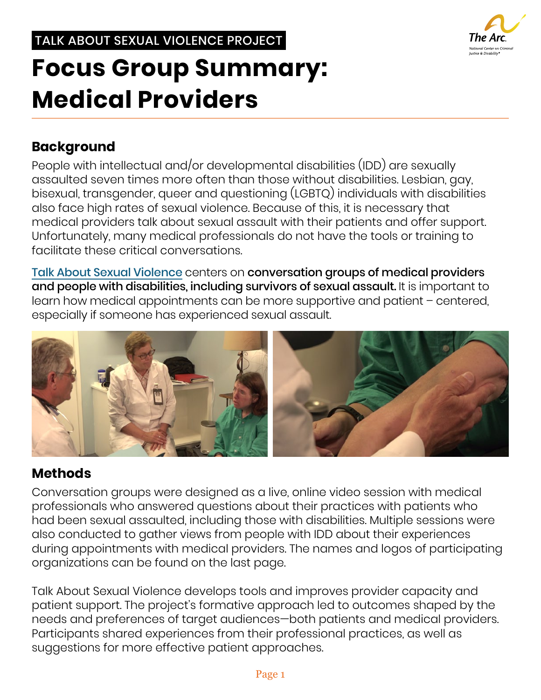### TALK ABOUT SEXUAL VIOLENCE PROJECT

# The Arc National Center on Criminal<br>Justice & Disability®

# **Focus Group Summary: Medical Providers**

## **Background**

People with intellectual and/or developmental disabilities (IDD) are sexually assaulted seven times more often than those without disabilities. Lesbian, gay, bisexual, transgender, queer and questioning (LGBTQ) individuals with disabilities also face high rates of sexual violence. Because of this, it is necessary that medical providers talk about sexual assault with their patients and offer support. Unfortunately, many medical professionals do not have the tools or training to facilitate these critical conversations.

[Talk About Sexual Violence](https://thearc.org/our-initiatives/criminal-justice/talk-about-sexual-violence/) centers on conversation groups of medical providers and people with disabilities, including survivors of sexual assault. It is important to learn how medical appointments can be more supportive and patient – centered, especially if someone has experienced sexual assault.



### **Methods**

Conversation groups were designed as a live, online video session with medical professionals who answered questions about their practices with patients who had been sexual assaulted, including those with disabilities. Multiple sessions were also conducted to gather views from people with IDD about their experiences during appointments with medical providers. The names and logos of participating organizations can be found on the last page.

Talk About Sexual Violence develops tools and improves provider capacity and patient support. The project's formative approach led to outcomes shaped by the needs and preferences of target audiences—both patients and medical providers. Participants shared experiences from their professional practices, as well as suggestions for more effective patient approaches.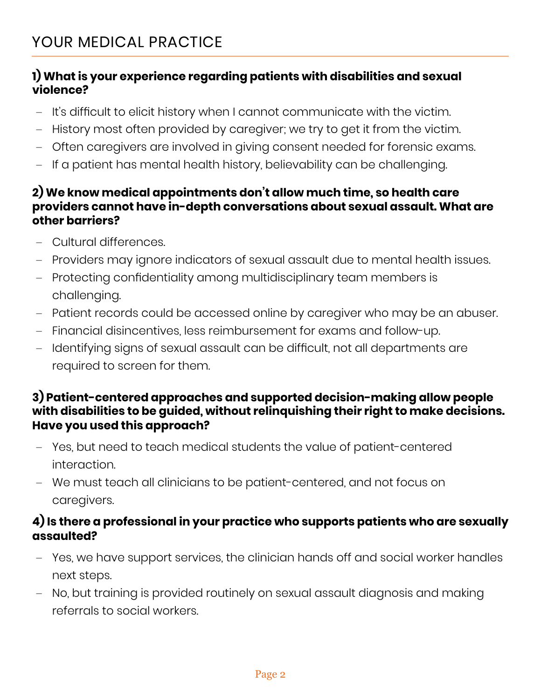### **1) What is your experience regarding patients with disabilities and sexual violence?**

- **–** It's difficult to elicit history when I cannot communicate with the victim.
- **–** History most often provided by caregiver; we try to get it from the victim.
- **–** Often caregivers are involved in giving consent needed for forensic exams.
- **–** If a patient has mental health history, believability can be challenging.

### **2) We know medical appointments don't allow much time, so health care providers cannot have in-depth conversations about sexual assault. What are other barriers?**

- **–** Cultural differences.
- **–** Providers may ignore indicators of sexual assault due to mental health issues.
- **–** Protecting confidentiality among multidisciplinary team members is challenging.
- **–** Patient records could be accessed online by caregiver who may be an abuser.
- **–** Financial disincentives, less reimbursement for exams and follow-up.
- **–** Identifying signs of sexual assault can be difficult, not all departments are required to screen for them.

### **3) Patient-centered approaches and supported decision-making allow people with disabilities to be guided, without relinquishing their right to make decisions. Have you used this approach?**

- **–** Yes, but need to teach medical students the value of patient-centered interaction.
- **–** We must teach all clinicians to be patient-centered, and not focus on caregivers.

### **4) Is there a professional in your practice who supports patients who are sexually assaulted?**

- **–** Yes, we have support services, the clinician hands off and social worker handles next steps.
- **–** No, but training is provided routinely on sexual assault diagnosis and making referrals to social workers.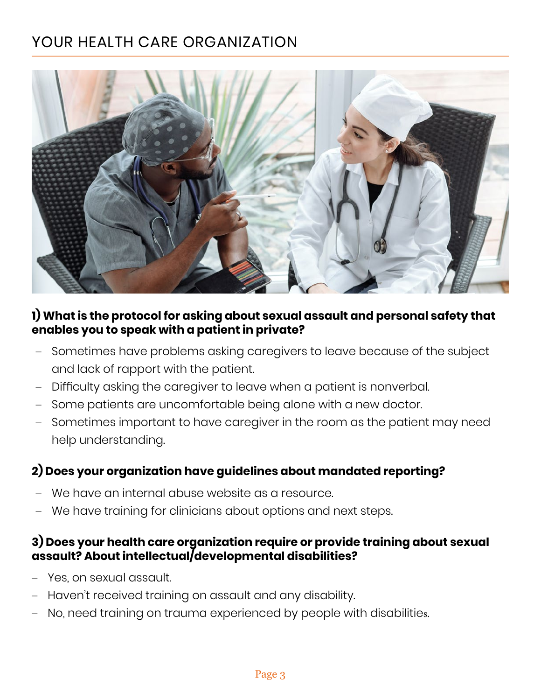# YOUR HEALTH CARE ORGANIZATION



### **1) What is the protocol for asking about sexual assault and personal safety that enables you to speak with a patient in private?**

- **–** Sometimes have problems asking caregivers to leave because of the subject and lack of rapport with the patient.
- **–** Difficulty asking the caregiver to leave when a patient is nonverbal.
- **–** Some patients are uncomfortable being alone with a new doctor.
- **–** Sometimes important to have caregiver in the room as the patient may need help understanding.

#### **2) Does your organization have guidelines about mandated reporting?**

- **–** We have an internal abuse website as a resource.
- **–** We have training for clinicians about options and next steps.

#### **3) Does your health care organization require or provide training about sexual assault? About intellectual/developmental disabilities?**

- **–** Yes, on sexual assault.
- **–** Haven't received training on assault and any disability.
- **–** No, need training on trauma experienced by people with disabilities.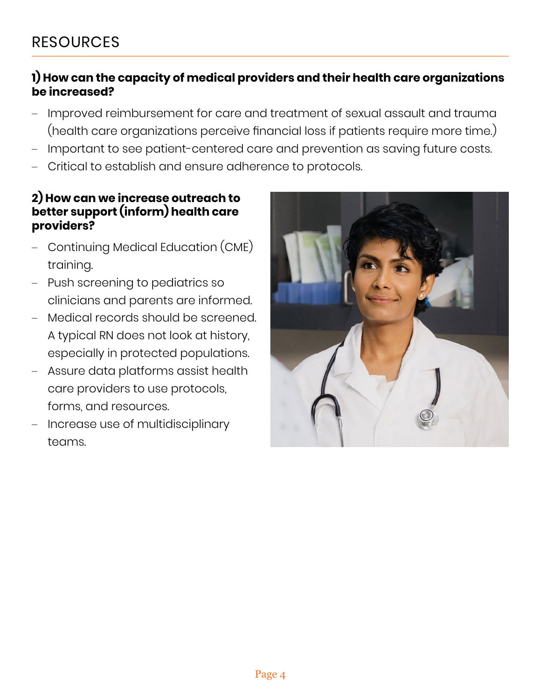### **1) How can the capacity of medical providers and their health care organizations be increased?**

- **–** Improved reimbursement for care and treatment of sexual assault and trauma (health care organizations perceive financial loss if patients require more time.)
- **–** Important to see patient-centered care and prevention as saving future costs.
- **–** Critical to establish and ensure adherence to protocols.

#### **2) How can we increase outreach to better support (inform) health care providers?**

- **–** Continuing Medical Education (CME) training.
- **–** Push screening to pediatrics so clinicians and parents are informed.
- **–** Medical records should be screened. A typical RN does not look at history, especially in protected populations.
- **–** Assure data platforms assist health care providers to use protocols, forms, and resources.
- **–** Increase use of multidisciplinary teams.